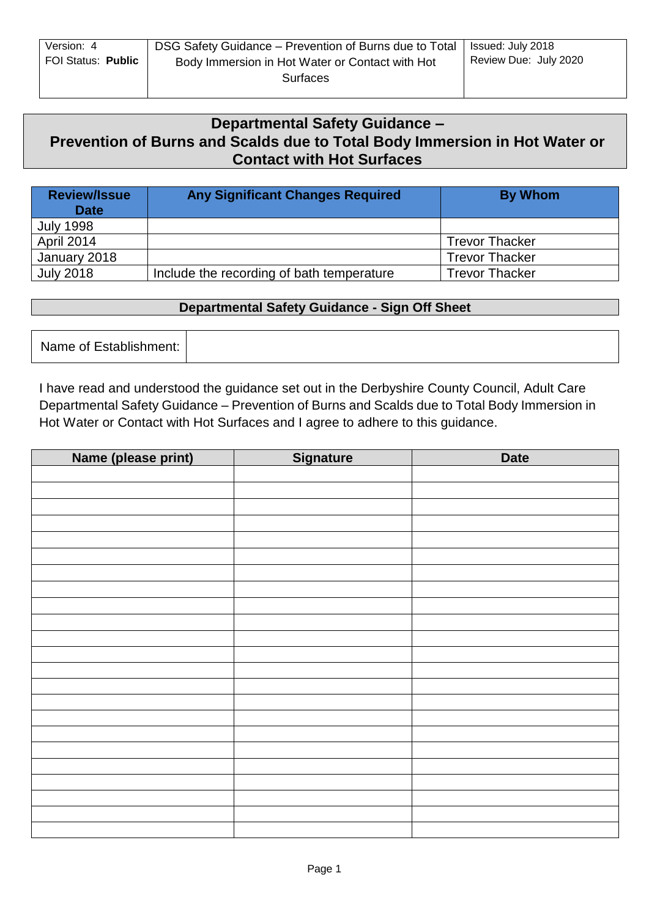| Version: 4         | DSG Safety Guidance – Prevention of Burns due to Total   Issued: July 2018 |                       |
|--------------------|----------------------------------------------------------------------------|-----------------------|
| FOI Status: Public | Body Immersion in Hot Water or Contact with Hot                            | Review Due: July 2020 |
|                    | Surfaces                                                                   |                       |

# **Departmental Safety Guidance – Prevention of Burns and Scalds due to Total Body Immersion in Hot Water or Contact with Hot Surfaces**

| <b>Review/Issue</b><br><b>Date</b> | <b>Any Significant Changes Required</b>   | By Whom               |
|------------------------------------|-------------------------------------------|-----------------------|
| <b>July 1998</b>                   |                                           |                       |
| April 2014                         |                                           | <b>Trevor Thacker</b> |
| January 2018                       |                                           | <b>Trevor Thacker</b> |
| <b>July 2018</b>                   | Include the recording of bath temperature | <b>Trevor Thacker</b> |

### **Departmental Safety Guidance - Sign Off Sheet**

Name of Establishment:

I have read and understood the guidance set out in the Derbyshire County Council, Adult Care Departmental Safety Guidance – Prevention of Burns and Scalds due to Total Body Immersion in Hot Water or Contact with Hot Surfaces and I agree to adhere to this guidance.

| Name (please print) | <b>Signature</b> | <b>Date</b> |
|---------------------|------------------|-------------|
|                     |                  |             |
|                     |                  |             |
|                     |                  |             |
|                     |                  |             |
|                     |                  |             |
|                     |                  |             |
|                     |                  |             |
|                     |                  |             |
|                     |                  |             |
|                     |                  |             |
|                     |                  |             |
|                     |                  |             |
|                     |                  |             |
|                     |                  |             |
|                     |                  |             |
|                     |                  |             |
|                     |                  |             |
|                     |                  |             |
|                     |                  |             |
|                     |                  |             |
|                     |                  |             |
|                     |                  |             |
|                     |                  |             |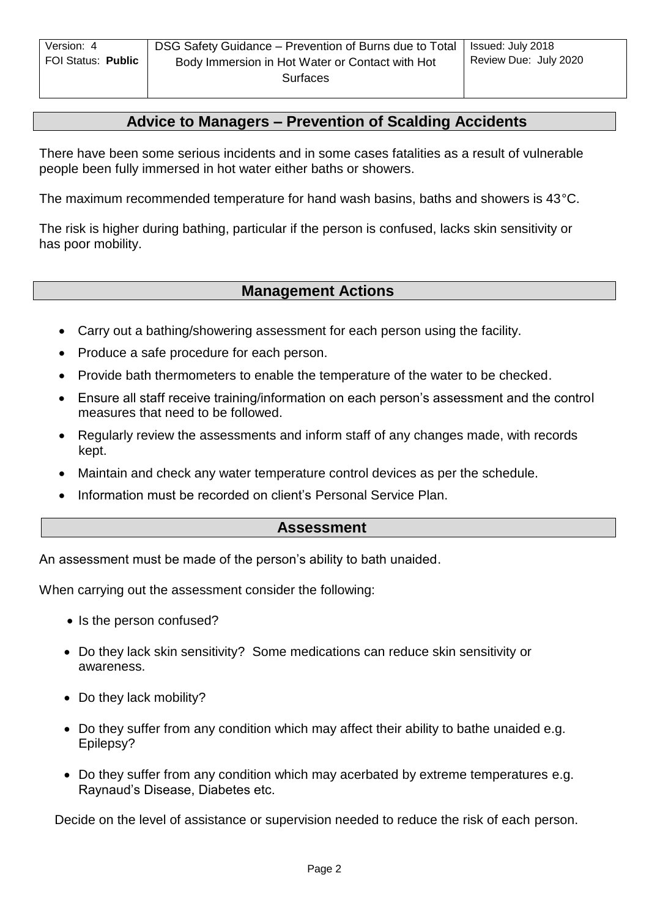## **Advice to Managers – Prevention of Scalding Accidents**

There have been some serious incidents and in some cases fatalities as a result of vulnerable people been fully immersed in hot water either baths or showers.

The maximum recommended temperature for hand wash basins, baths and showers is 43°C.

The risk is higher during bathing, particular if the person is confused, lacks skin sensitivity or has poor mobility.

### **Management Actions**

- Carry out a bathing/showering assessment for each person using the facility.
- Produce a safe procedure for each person.
- Provide bath thermometers to enable the temperature of the water to be checked.
- Ensure all staff receive training/information on each person's assessment and the control measures that need to be followed.
- Regularly review the assessments and inform staff of any changes made, with records kept.
- Maintain and check any water temperature control devices as per the schedule.
- Information must be recorded on client's Personal Service Plan.

### **Assessment**

An assessment must be made of the person's ability to bath unaided.

When carrying out the assessment consider the following:

- Is the person confused?
- Do they lack skin sensitivity? Some medications can reduce skin sensitivity or awareness.
- Do they lack mobility?
- Do they suffer from any condition which may affect their ability to bathe unaided e.g. Epilepsy?
- Do they suffer from any condition which may acerbated by extreme temperatures e.g. Raynaud's Disease, Diabetes etc.

Decide on the level of assistance or supervision needed to reduce the risk of each person.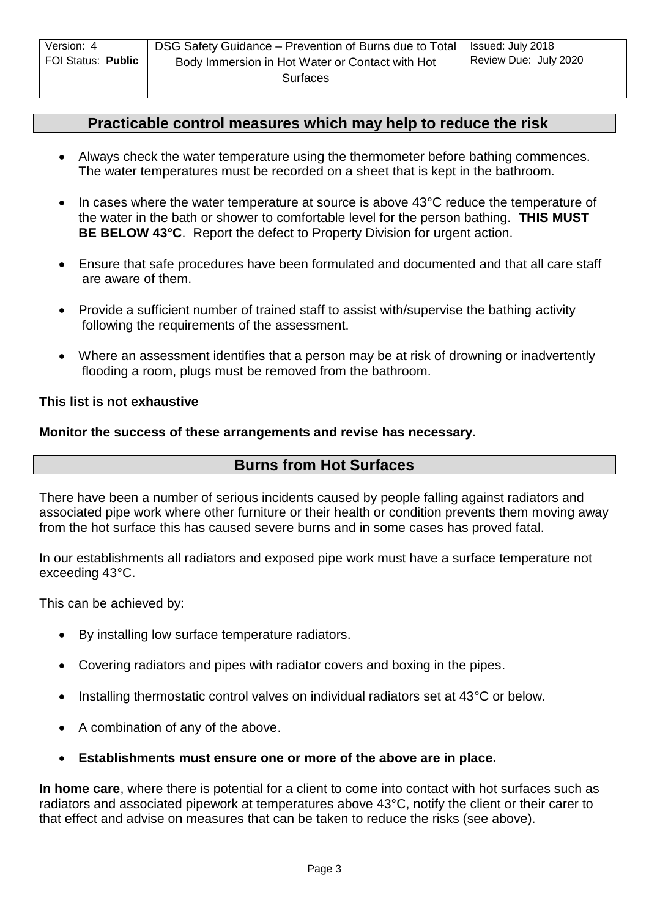### **Practicable control measures which may help to reduce the risk**

- Always check the water temperature using the thermometer before bathing commences. The water temperatures must be recorded on a sheet that is kept in the bathroom.
- In cases where the water temperature at source is above 43°C reduce the temperature of the water in the bath or shower to comfortable level for the person bathing. **THIS MUST BE BELOW 43°C**. Report the defect to Property Division for urgent action.
- Ensure that safe procedures have been formulated and documented and that all care staff are aware of them.
- Provide a sufficient number of trained staff to assist with/supervise the bathing activity following the requirements of the assessment.
- Where an assessment identifies that a person may be at risk of drowning or inadvertently flooding a room, plugs must be removed from the bathroom.

#### **This list is not exhaustive**

#### **Monitor the success of these arrangements and revise has necessary.**

### **Burns from Hot Surfaces**

There have been a number of serious incidents caused by people falling against radiators and associated pipe work where other furniture or their health or condition prevents them moving away from the hot surface this has caused severe burns and in some cases has proved fatal.

In our establishments all radiators and exposed pipe work must have a surface temperature not exceeding 43°C.

This can be achieved by:

- By installing low surface temperature radiators.
- Covering radiators and pipes with radiator covers and boxing in the pipes.
- Installing thermostatic control valves on individual radiators set at 43°C or below.
- A combination of any of the above.
- **Establishments must ensure one or more of the above are in place.**

**In home care**, where there is potential for a client to come into contact with hot surfaces such as radiators and associated pipework at temperatures above 43°C, notify the client or their carer to that effect and advise on measures that can be taken to reduce the risks (see above).